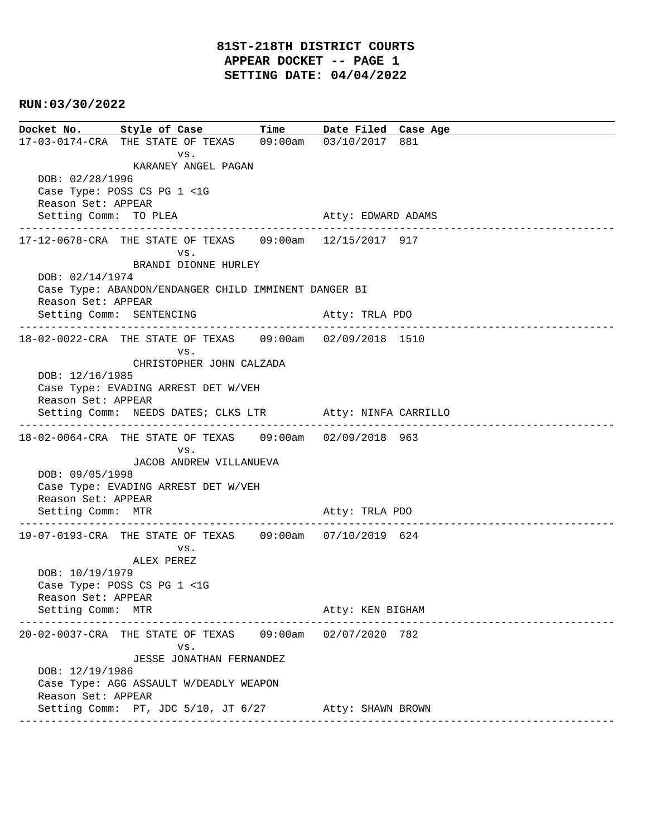**Docket No. Style of Case Time Date Filed Case Age**  17-03-0174-CRA THE STATE OF TEXAS 09:00am 03/10/2017 881 vs. KARANEY ANGEL PAGAN DOB: 02/28/1996 Case Type: POSS CS PG 1 <1G Reason Set: APPEAR Setting Comm: TO PLEA Atty: EDWARD ADAMS ---------------------------------------------------------------------------------------------- 17-12-0678-CRA THE STATE OF TEXAS 09:00am 12/15/2017 917 vs. BRANDI DIONNE HURLEY DOB: 02/14/1974 Case Type: ABANDON/ENDANGER CHILD IMMINENT DANGER BI Reason Set: APPEAR Setting Comm: SENTENCING Atty: TRLA PDO ---------------------------------------------------------------------------------------------- 18-02-0022-CRA THE STATE OF TEXAS 09:00am 02/09/2018 1510 vs. CHRISTOPHER JOHN CALZADA DOB: 12/16/1985 Case Type: EVADING ARREST DET W/VEH Reason Set: APPEAR Setting Comm: NEEDS DATES; CLKS LTR Atty: NINFA CARRILLO ---------------------------------------------------------------------------------------------- 18-02-0064-CRA THE STATE OF TEXAS 09:00am 02/09/2018 963 vs. JACOB ANDREW VILLANUEVA DOB: 09/05/1998 Case Type: EVADING ARREST DET W/VEH Reason Set: APPEAR Setting Comm: MTR Atty: TRLA PDO ---------------------------------------------------------------------------------------------- 19-07-0193-CRA THE STATE OF TEXAS 09:00am 07/10/2019 624 vs. ALEX PEREZ DOB: 10/19/1979 Case Type: POSS CS PG 1 <1G Reason Set: APPEAR Setting Comm: MTR Atty: KEN BIGHAM ---------------------------------------------------------------------------------------------- 20-02-0037-CRA THE STATE OF TEXAS 09:00am 02/07/2020 782 vs. JESSE JONATHAN FERNANDEZ DOB: 12/19/1986 Case Type: AGG ASSAULT W/DEADLY WEAPON Reason Set: APPEAR Setting Comm: PT, JDC 5/10, JT 6/27 Atty: SHAWN BROWN ----------------------------------------------------------------------------------------------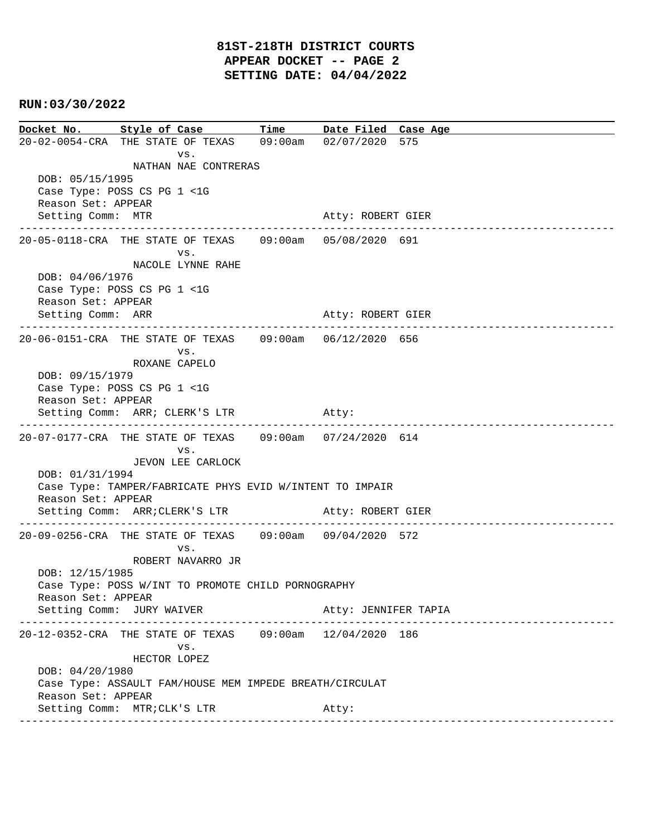**Docket No. Style of Case Time Date Filed Case Age**  20-02-0054-CRA THE STATE OF TEXAS 09:00am 02/07/2020 575 vs. NATHAN NAE CONTRERAS DOB: 05/15/1995 Case Type: POSS CS PG 1 <1G Reason Set: APPEAR Setting Comm: MTR Atty: ROBERT GIER ---------------------------------------------------------------------------------------------- 20-05-0118-CRA THE STATE OF TEXAS 09:00am 05/08/2020 691 vs. NACOLE LYNNE RAHE DOB: 04/06/1976 Case Type: POSS CS PG 1 <1G Reason Set: APPEAR Setting Comm: ARR Atty: ROBERT GIER ---------------------------------------------------------------------------------------------- 20-06-0151-CRA THE STATE OF TEXAS 09:00am 06/12/2020 656 vs. ROXANE CAPELO DOB: 09/15/1979 Case Type: POSS CS PG 1 <1G Reason Set: APPEAR Setting Comm: ARR; CLERK'S LTR Atty: ---------------------------------------------------------------------------------------------- 20-07-0177-CRA THE STATE OF TEXAS 09:00am 07/24/2020 614 vs. JEVON LEE CARLOCK DOB: 01/31/1994 Case Type: TAMPER/FABRICATE PHYS EVID W/INTENT TO IMPAIR Reason Set: APPEAR Setting Comm: ARR; CLERK'S LTR Atty: ROBERT GIER ---------------------------------------------------------------------------------------------- 20-09-0256-CRA THE STATE OF TEXAS 09:00am 09/04/2020 572 vs. ROBERT NAVARRO JR DOB: 12/15/1985 Case Type: POSS W/INT TO PROMOTE CHILD PORNOGRAPHY Reason Set: APPEAR Setting Comm: JURY WAIVER Atty: JENNIFER TAPIA ---------------------------------------------------------------------------------------------- 20-12-0352-CRA THE STATE OF TEXAS 09:00am 12/04/2020 186 vs. HECTOR LOPEZ DOB: 04/20/1980 Case Type: ASSAULT FAM/HOUSE MEM IMPEDE BREATH/CIRCULAT Reason Set: APPEAR Setting Comm: MTR; CLK'S LTR Atty: ----------------------------------------------------------------------------------------------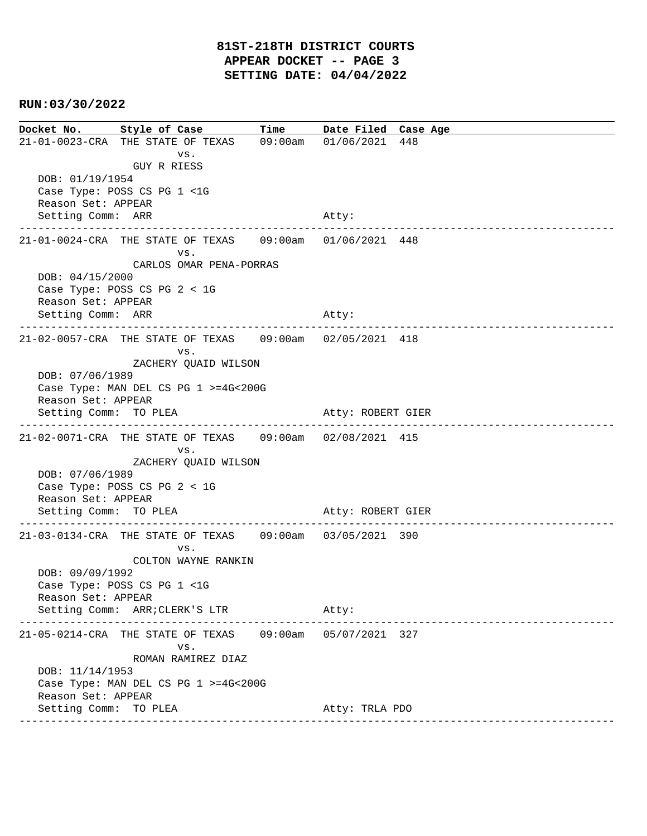**Docket No. Style of Case Time Date Filed Case Age**  21-01-0023-CRA THE STATE OF TEXAS 09:00am 01/06/2021 448 vs. GUY R RIESS DOB: 01/19/1954 Case Type: POSS CS PG 1 <1G Reason Set: APPEAR Setting Comm: ARR Atty: ---------------------------------------------------------------------------------------------- 21-01-0024-CRA THE STATE OF TEXAS 09:00am 01/06/2021 448 vs. CARLOS OMAR PENA-PORRAS DOB: 04/15/2000 Case Type: POSS CS PG 2 < 1G Reason Set: APPEAR Setting Comm: ARR Atty: ---------------------------------------------------------------------------------------------- 21-02-0057-CRA THE STATE OF TEXAS 09:00am 02/05/2021 418 vs. ZACHERY QUAID WILSON DOB: 07/06/1989 Case Type: MAN DEL CS PG 1 >=4G<200G Reason Set: APPEAR Setting Comm: TO PLEA Atty: ROBERT GIER ---------------------------------------------------------------------------------------------- 21-02-0071-CRA THE STATE OF TEXAS 09:00am 02/08/2021 415 vs. ZACHERY QUAID WILSON DOB: 07/06/1989 Case Type: POSS CS PG 2 < 1G Reason Set: APPEAR Setting Comm: TO PLEA Atty: ROBERT GIER ---------------------------------------------------------------------------------------------- 21-03-0134-CRA THE STATE OF TEXAS 09:00am 03/05/2021 390 vs. COLTON WAYNE RANKIN DOB: 09/09/1992 Case Type: POSS CS PG 1 <1G Reason Set: APPEAR Setting Comm: ARR; CLERK'S LTR Atty: ---------------------------------------------------------------------------------------------- 21-05-0214-CRA THE STATE OF TEXAS 09:00am 05/07/2021 327 vs. ROMAN RAMIREZ DIAZ DOB: 11/14/1953 Case Type: MAN DEL CS PG 1 >=4G<200G Reason Set: APPEAR Setting Comm: TO PLEA Atty: TRLA PDO ----------------------------------------------------------------------------------------------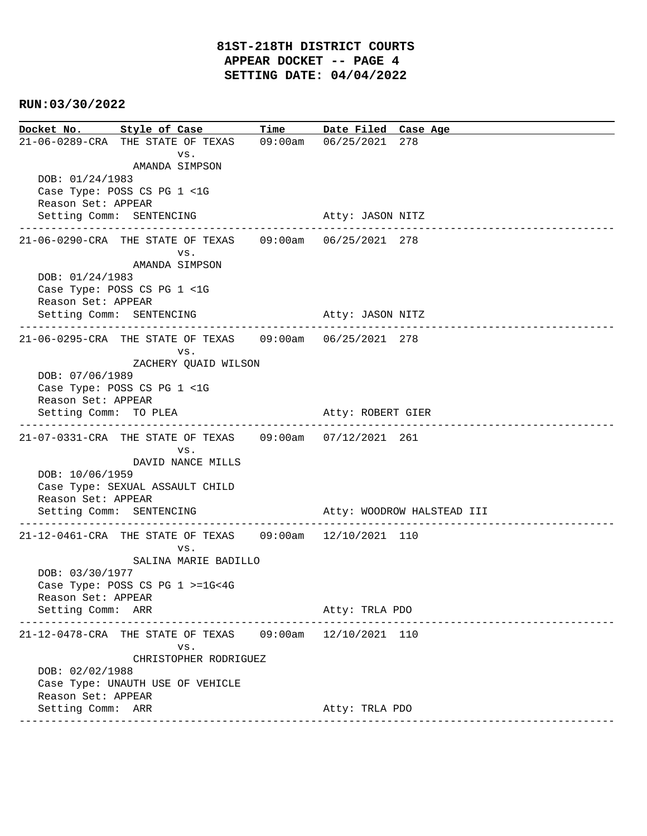|                                         | Docket No. Style of Case Time Date Filed Case Age        |  |                   |                               |
|-----------------------------------------|----------------------------------------------------------|--|-------------------|-------------------------------|
|                                         | 21-06-0289-CRA THE STATE OF TEXAS 09:00am 06/25/2021 278 |  |                   |                               |
|                                         | VS.                                                      |  |                   |                               |
|                                         | AMANDA SIMPSON                                           |  |                   |                               |
| DOB: 01/24/1983                         |                                                          |  |                   |                               |
| Reason Set: APPEAR                      | Case Type: POSS CS PG 1 <1G                              |  |                   |                               |
|                                         | Setting Comm: SENTENCING                                 |  | Atty: JASON NITZ  |                               |
|                                         |                                                          |  |                   | ----------------------------- |
|                                         | 21-06-0290-CRA THE STATE OF TEXAS 09:00am 06/25/2021 278 |  |                   |                               |
|                                         | VS.                                                      |  |                   |                               |
| DOB: 01/24/1983                         | AMANDA SIMPSON                                           |  |                   |                               |
|                                         | Case Type: POSS CS PG 1 <1G                              |  |                   |                               |
| Reason Set: APPEAR                      |                                                          |  |                   |                               |
|                                         | Setting Comm: SENTENCING                                 |  | Atty: JASON NITZ  |                               |
|                                         |                                                          |  |                   |                               |
|                                         | 21-06-0295-CRA THE STATE OF TEXAS 09:00am 06/25/2021 278 |  |                   |                               |
|                                         | VS.<br>ZACHERY QUAID WILSON                              |  |                   |                               |
| DOB: 07/06/1989                         |                                                          |  |                   |                               |
|                                         | Case Type: POSS CS PG 1 <1G                              |  |                   |                               |
| Reason Set: APPEAR                      |                                                          |  |                   |                               |
| Setting Comm: TO PLEA                   |                                                          |  | Atty: ROBERT GIER |                               |
|                                         | 21-07-0331-CRA THE STATE OF TEXAS 09:00am 07/12/2021 261 |  |                   |                               |
|                                         | VS.                                                      |  |                   |                               |
|                                         | DAVID NANCE MILLS                                        |  |                   |                               |
| DOB: 10/06/1959                         |                                                          |  |                   |                               |
|                                         | Case Type: SEXUAL ASSAULT CHILD                          |  |                   |                               |
| Reason Set: APPEAR                      |                                                          |  |                   |                               |
|                                         | Setting Comm: SENTENCING                                 |  |                   | Atty: WOODROW HALSTEAD III    |
|                                         | 21-12-0461-CRA THE STATE OF TEXAS 09:00am 12/10/2021 110 |  |                   |                               |
|                                         | VS.                                                      |  |                   |                               |
|                                         | SALINA MARIE BADILLO                                     |  |                   |                               |
| DOB: 03/30/1977                         |                                                          |  |                   |                               |
|                                         | Case Type: POSS CS PG $1$ >=1G<4G                        |  |                   |                               |
| Reason Set: APPEAR<br>Setting Comm: ARR |                                                          |  | Atty: TRLA PDO    |                               |
|                                         | ----------------------------                             |  |                   | ---------------               |
|                                         | 21-12-0478-CRA THE STATE OF TEXAS 09:00am 12/10/2021 110 |  |                   |                               |
|                                         | VS.                                                      |  |                   |                               |
|                                         | CHRISTOPHER RODRIGUEZ                                    |  |                   |                               |
| DOB: 02/02/1988                         | Case Type: UNAUTH USE OF VEHICLE                         |  |                   |                               |
| Reason Set: APPEAR                      |                                                          |  |                   |                               |
| Setting Comm: ARR                       |                                                          |  | Atty: TRLA PDO    |                               |
|                                         | ----------------------------------                       |  |                   |                               |